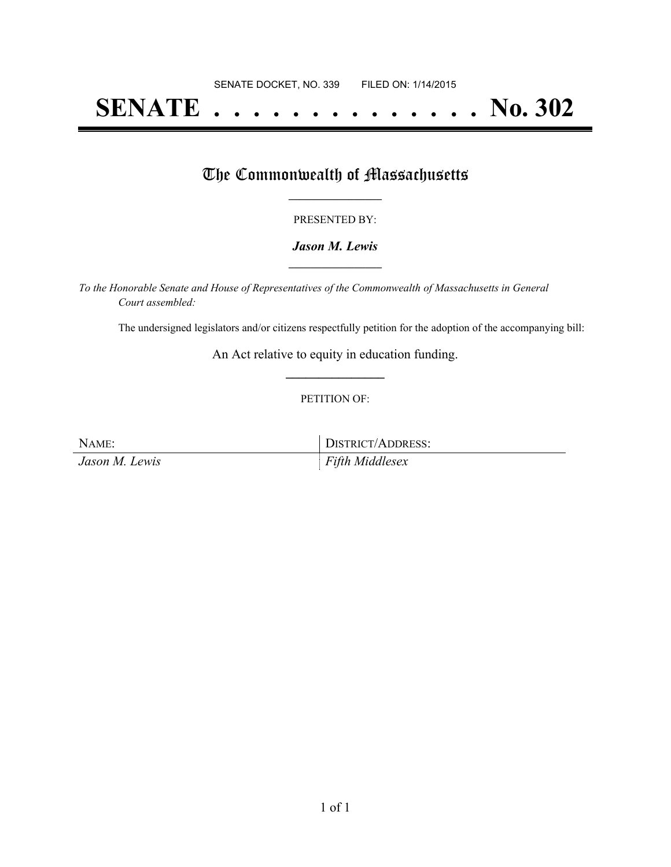# **SENATE . . . . . . . . . . . . . . No. 302**

### The Commonwealth of Massachusetts

### PRESENTED BY:

### *Jason M. Lewis* **\_\_\_\_\_\_\_\_\_\_\_\_\_\_\_\_\_**

*To the Honorable Senate and House of Representatives of the Commonwealth of Massachusetts in General Court assembled:*

The undersigned legislators and/or citizens respectfully petition for the adoption of the accompanying bill:

An Act relative to equity in education funding. **\_\_\_\_\_\_\_\_\_\_\_\_\_\_\_**

#### PETITION OF:

NAME: DISTRICT/ADDRESS: *Jason M. Lewis Fifth Middlesex*